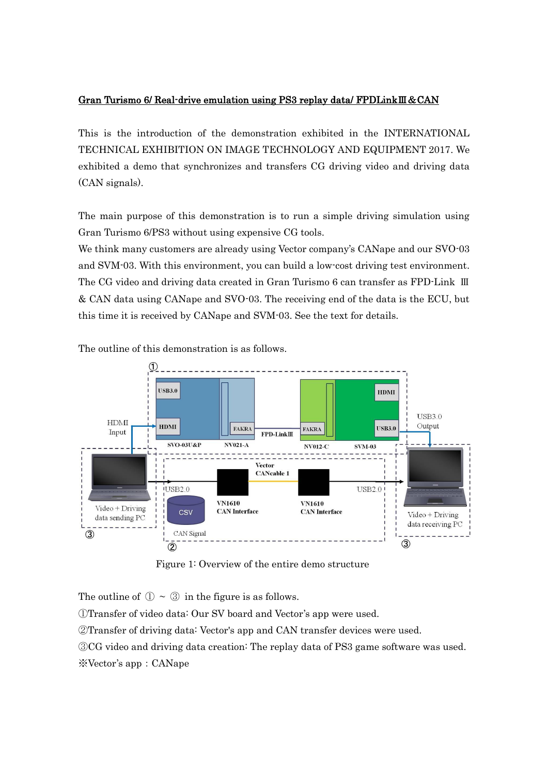## Gran Turismo 6/ Real-drive emulation using PS3 replay data/ FPDLinkⅢ&CAN

This is the introduction of the demonstration exhibited in the INTERNATIONAL TECHNICAL EXHIBITION ON IMAGE TECHNOLOGY AND EQUIPMENT 2017. We exhibited a demo that synchronizes and transfers CG driving video and driving data (CAN signals).

The main purpose of this demonstration is to run a simple driving simulation using Gran Turismo 6/PS3 without using expensive CG tools.

We think many customers are already using Vector company's CANape and our SVO-03 and SVM-03. With this environment, you can build a low-cost driving test environment. The CG video and driving data created in Gran Turismo 6 can transfer as FPD-Link Ⅲ & CAN data using CANape and SVO-03. The receiving end of the data is the ECU, but this time it is received by CANape and SVM-03. See the text for details.



The outline of this demonstration is as follows.

Figure 1: Overview of the entire demo structure

The outline of  $\mathbb{O} \setminus \mathbb{G}$  in the figure is as follows.

①Transfer of video data: Our SV board and Vector's app were used.

②Transfer of driving data: Vector's app and CAN transfer devices were used.

③CG video and driving data creation: The replay data of PS3 game software was used.

※Vector's app:CANape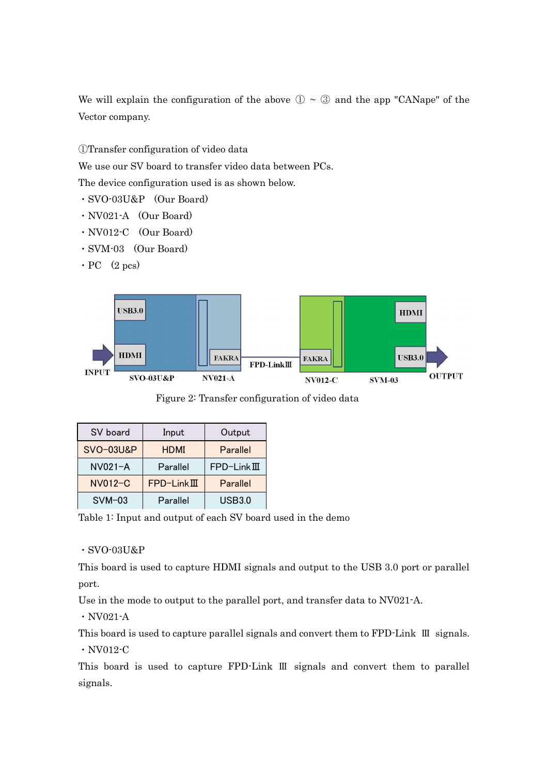We will explain the configuration of the above  $\mathbb{O} \sim \mathbb{O}$  and the app "CANape" of the Vector company.

①Transfer configuration of video data

We use our SV board to transfer video data between PCs.

The device configuration used is as shown below.

- ・SVO-03U&P (Our Board)
- ・NV021-A (Our Board)
- ・NV012-C (Our Board)
- ・SVM-03 (Our Board)
- $\cdot$  PC  $(2 \text{ pcs})$

![](_page_1_Figure_9.jpeg)

Figure 2: Transfer configuration of video data

| SV board             | Input       | Output     |  |  |
|----------------------|-------------|------------|--|--|
| <b>SVO-03U&amp;P</b> | <b>HDMI</b> | Parallel   |  |  |
| $NVO21 - A$          | Parallel    | $FPD-Link$ |  |  |
| NV012-C              | $FPD-Link$  | Parallel   |  |  |
| $SVM-03$             | Parallel    | USB3.0     |  |  |

Table 1: Input and output of each SV board used in the demo

#### ・SVO-03U&P

This board is used to capture HDMI signals and output to the USB 3.0 port or parallel port.

Use in the mode to output to the parallel port, and transfer data to NV021-A.

 $\cdot$  NV021-A

This board is used to capture parallel signals and convert them to FPD-Link Ⅲ signals.

・NV012-C

This board is used to capture FPD-Link Ⅲ signals and convert them to parallel signals.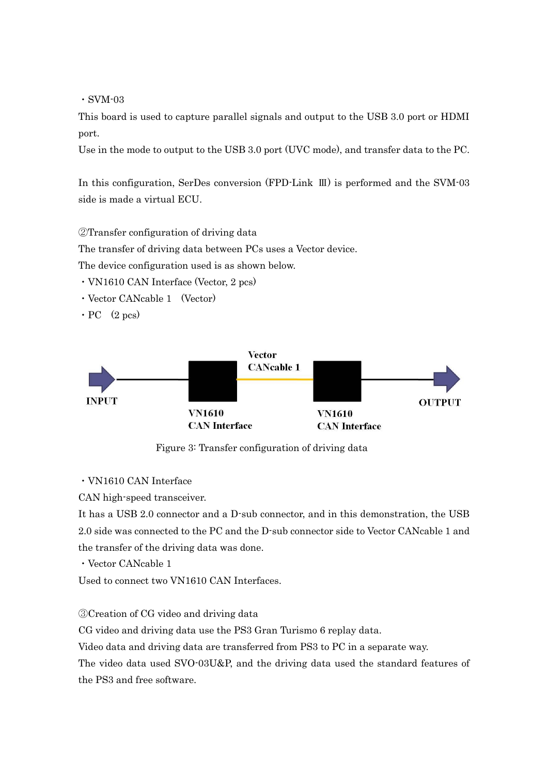$\cdot$  SVM-03

This board is used to capture parallel signals and output to the USB 3.0 port or HDMI port.

Use in the mode to output to the USB 3.0 port (UVC mode), and transfer data to the PC.

In this configuration, SerDes conversion (FPD-Link Ⅲ) is performed and the SVM-03 side is made a virtual ECU.

②Transfer configuration of driving data

The transfer of driving data between PCs uses a Vector device.

The device configuration used is as shown below.

- ・VN1610 CAN Interface (Vector, 2 pcs)
- ・Vector CANcable 1 (Vector)
- $\cdot$  PC  $(2 \text{ pcs})$

![](_page_2_Figure_10.jpeg)

Figure 3: Transfer configuration of driving data

#### ・VN1610 CAN Interface

CAN high-speed transceiver.

It has a USB 2.0 connector and a D-sub connector, and in this demonstration, the USB 2.0 side was connected to the PC and the D-sub connector side to Vector CANcable 1 and the transfer of the driving data was done.

・Vector CANcable 1

Used to connect two VN1610 CAN Interfaces.

③Creation of CG video and driving data

CG video and driving data use the PS3 Gran Turismo 6 replay data.

Video data and driving data are transferred from PS3 to PC in a separate way.

The video data used SVO-03U&P, and the driving data used the standard features of the PS3 and free software.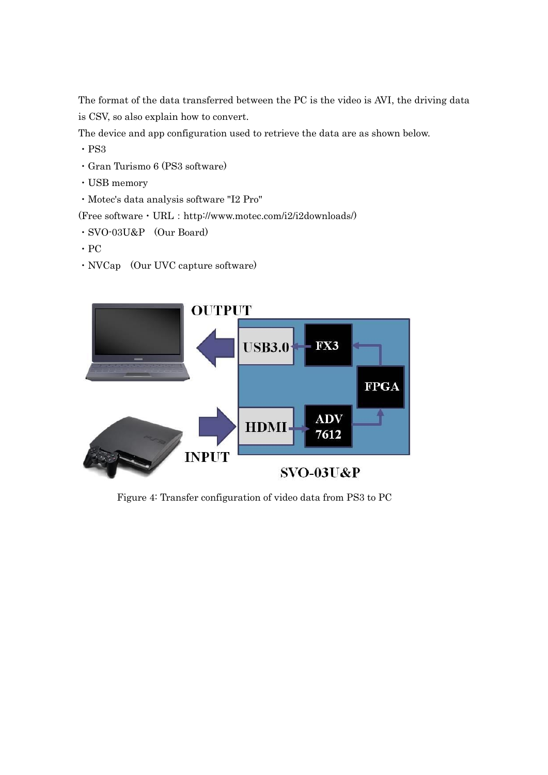The format of the data transferred between the PC is the video is AVI, the driving data is CSV, so also explain how to convert.

The device and app configuration used to retrieve the data are as shown below.

- ・PS3
- ・Gran Turismo 6 (PS3 software)
- ・USB memory
- ・Motec's data analysis software "I2 Pro"

(Free software・URL:http://www.motec.com/i2/i2downloads/)

- ・SVO-03U&P (Our Board)
- ・PC
- ・NVCap (Our UVC capture software)

![](_page_3_Figure_10.jpeg)

Figure 4: Transfer configuration of video data from PS3 to PC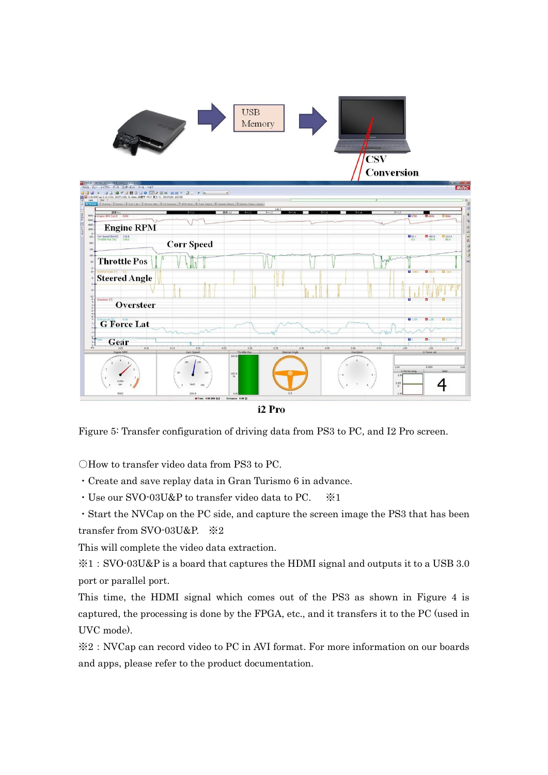![](_page_4_Figure_0.jpeg)

i2 Pro

Figure 5: Transfer configuration of driving data from PS3 to PC, and I2 Pro screen.

OHow to transfer video data from PS3 to PC.

- ・Create and save replay data in Gran Turismo 6 in advance.
- ・Use our SVO-03U&P to transfer video data to PC. ※1

・Start the NVCap on the PC side, and capture the screen image the PS3 that has been transfer from SVO-03U&P. ※2

This will complete the video data extraction.

 $\&1:$  SVO-03U&P is a board that captures the HDMI signal and outputs it to a USB 3.0 port or parallel port.

This time, the HDMI signal which comes out of the PS3 as shown in Figure 4 is captured, the processing is done by the FPGA, etc., and it transfers it to the PC (used in UVC mode).

※2:NVCap can record video to PC in AVI format. For more information on our boards and apps, please refer to the product documentation.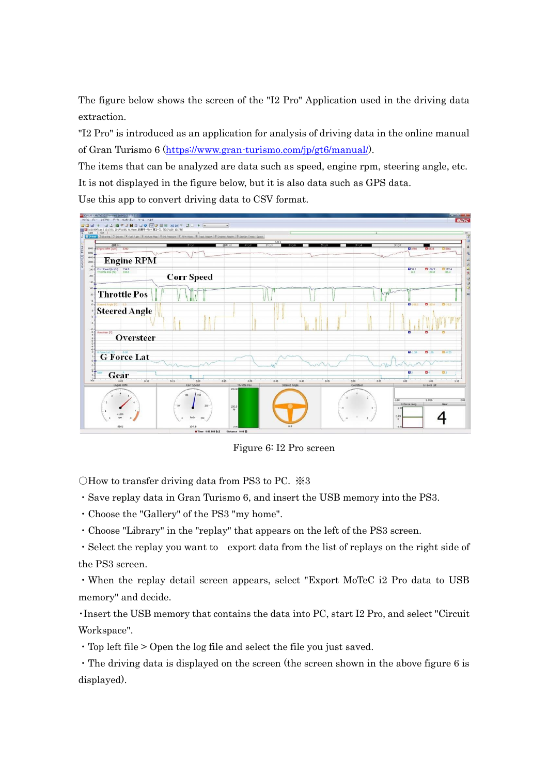The figure below shows the screen of the "I2 Pro" Application used in the driving data extraction.

"I2 Pro" is introduced as an application for analysis of driving data in the online manual of Gran Turismo 6 [\(https://www.gran-turismo.com/jp/gt6/manual/\)](https://www.gran-turismo.com/jp/gt6/manual/).

The items that can be analyzed are data such as speed, engine rpm, steering angle, etc. It is not displayed in the figure below, but it is also data such as GPS data.

Use this app to convert driving data to CSV format.

![](_page_5_Figure_4.jpeg)

Figure 6: I2 Pro screen

OHow to transfer driving data from PS3 to PC.  $\&3$ 

・Save replay data in Gran Turismo 6, and insert the USB memory into the PS3.

・Choose the "Gallery" of the PS3 "my home".

・Choose "Library" in the "replay" that appears on the left of the PS3 screen.

・Select the replay you want to export data from the list of replays on the right side of the PS3 screen.

・When the replay detail screen appears, select "Export MoTeC i2 Pro data to USB memory" and decide.

・Insert the USB memory that contains the data into PC, start I2 Pro, and select "Circuit Workspace".

・Top left file > Open the log file and select the file you just saved.

・The driving data is displayed on the screen (the screen shown in the above figure 6 is displayed).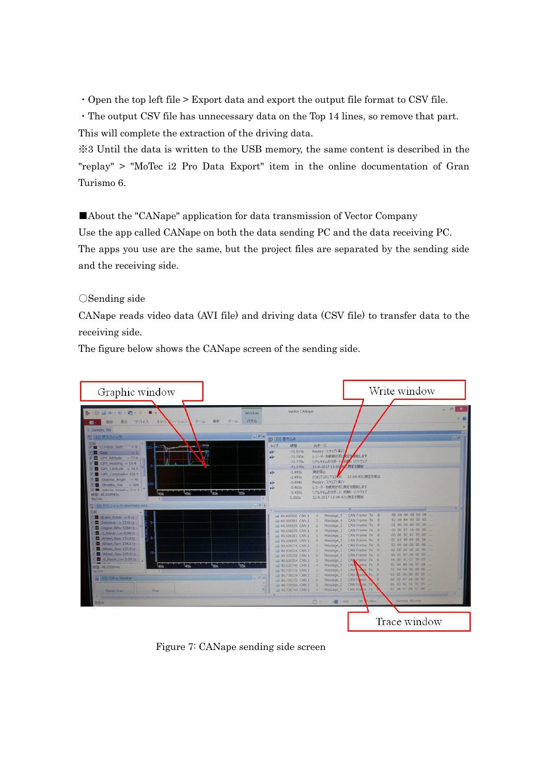・Open the top left file > Export data and export the output file format to CSV file.

・The output CSV file has unnecessary data on the Top 14 lines, so remove that part. This will complete the extraction of the driving data.

※3 Until the data is written to the USB memory, the same content is described in the "replay" > "MoTec i2 Pro Data Export" item in the online documentation of Gran Turismo 6.

■About the "CANape" application for data transmission of Vector Company Use the app called CANape on both the data sending PC and the data receiving PC. The apps you use are the same, but the project files are separated by the sending side and the receiving side.

## ○Sending side

CANape reads video data (AVI file) and driving data (CSV file) to transfer data to the receiving side.

The figure below shows the CANape screen of the sending side.

| Graphic window                                                                                                                                                                                                                                                                                                                                                   |                      |                                                                                                                                                                                                                                                                                                                               |                                                                                                                                                                                                                     |                                                                                                                                                                                                                                                                                                           | Write window                                                                                                                                                                                                                                                                                                                                   |  |
|------------------------------------------------------------------------------------------------------------------------------------------------------------------------------------------------------------------------------------------------------------------------------------------------------------------------------------------------------------------|----------------------|-------------------------------------------------------------------------------------------------------------------------------------------------------------------------------------------------------------------------------------------------------------------------------------------------------------------------------|---------------------------------------------------------------------------------------------------------------------------------------------------------------------------------------------------------------------|-----------------------------------------------------------------------------------------------------------------------------------------------------------------------------------------------------------------------------------------------------------------------------------------------------------|------------------------------------------------------------------------------------------------------------------------------------------------------------------------------------------------------------------------------------------------------------------------------------------------------------------------------------------------|--|
| 各世間中一些、助し、●<br>NERT<br>デバイス<br>子山<br><b>ボヤリ ビーション</b><br>表示                                                                                                                                                                                                                                                                                                      | Window<br>パネル<br>ツール | Vector CANape                                                                                                                                                                                                                                                                                                                 |                                                                                                                                                                                                                     |                                                                                                                                                                                                                                                                                                           |                                                                                                                                                                                                                                                                                                                                                |  |
| 1: Sample NV<br>苦 田クラフィック                                                                                                                                                                                                                                                                                                                                        | 日日×                  | 图 [3] 曾永远为                                                                                                                                                                                                                                                                                                                    |                                                                                                                                                                                                                     |                                                                                                                                                                                                                                                                                                           |                                                                                                                                                                                                                                                                                                                                                |  |
| 名服<br><b><i>Li Force Vert</i></b><br>$-3$<br>$GPS$ Altitude $= 77.6$<br>▬<br>$CPS$ Heading $=16.4$<br>$GPS$ , Latitude $-34.6$<br>GPS Longitude= 136.5<br>Steered Angle<br>$= 41$<br>$= 100$<br>Throttie Pos<br>Website Street = 111.7<br>456<br><b>KOs</b><br>時間: 48.828943s                                                                                    | vir.<br>556          | 時間<br>917<br>$-71.815s$<br>w<br>$-71.785s$<br>wir-<br>$-71.7796$<br>$-71.2766$<br>$-1.495s$<br>$-1.493s$<br>$-0.494s$<br>vi-<br>$-0.465s$<br>x5<br>$-0.458s$                                                                                                                                                                  | メッセージ<br>Replay: スクリプト実行<br>レコーダーを使用せずにメオン関地します<br>リアルタイムのサポート 同プ ソフトウェア<br>12-6-2017 13:03 0 周波を開始<br>测定停止<br>Replay: スクリプト実行<br>レコーダーを使用せずに測定を開始します<br>リアルタイムのサポート:同期:ソフトウェア                                      | (OK) で2017/12 6 13:04:45に測定を停止                                                                                                                                                                                                                                                                            |                                                                                                                                                                                                                                                                                                                                                |  |
| Su/Div<br>[6] グラフィック StimDota.mf4                                                                                                                                                                                                                                                                                                                                | 三帝区                  | 0.010s                                                                                                                                                                                                                                                                                                                        | 12-6-2017 13:04:47に刺定を開始                                                                                                                                                                                            |                                                                                                                                                                                                                                                                                                           |                                                                                                                                                                                                                                                                                                                                                |  |
| $B$ Brake Press $= 0.15$<br>$D$ Distance $-221616$<br>E Engine RPI= 536414<br>G. Force L= -0.0419<br><b>D</b> Wheel Sp = 133.9 to<br>Wheel Sp-134.1 H<br>Wheel Sp - 135.9 to<br><b>B</b> Wheel Sp= 135.914<br>G Force Li= 0.09 Hz<br>ورعها<br><b>SOK</b><br>40s<br><b>持盟: 48.8308441</b><br><b>GUTON</b><br>S [5] /ta.ju Window<br>Stop.<br><b>Replac Start:</b> | يووا                 | 49.406506 CAN 1<br>49.505581 CAN 1<br>49.505829 CAN 1<br>49.506075 CAN 1<br>-49.506311 CAN-1<br>Gil 49.506545 CAN 1<br>= 49.605774 CAN 1<br>49,606024 CAN 1<br>49.606268 CAN 1<br>49.606504 CAN 1<br>149.606740 CAN 1<br>- 49.705776 CAN 1<br># 49,706024 CAN 1<br>-149,706270 CAN 1<br>49,706506 CAN 1<br>-1 49.706744 CAN 1 | Message 5.<br>×.<br>Message 4<br>Message 3<br>Message 1<br>Message 2<br>Message 5<br>Message 4<br>Message 3<br>Message 1<br>Message 2<br>Message 5<br>Message 4<br>Message 3<br>Message 1<br>Message 2<br>Message 5 | CAN Frame Tx 8<br>CAN Frame Tx 8<br>CAN Frame Tx B<br>CAN Frame Tx 8<br>CAN Frame Tx<br>CAN Frame Tx 8<br>CAN Frame Tx<br>CAN Frame Tx B<br>CAN Frame Tx<br><b>CAN Frame Tx B</b><br>CAN<br>me Tx<br><b>CAN</b><br>pe fx<br>CAN F<br>$Tx = 8$<br>CAN 3<br>CAN Fr.<br>$PAB$ $D$<br>CAN Fra<br><b>NR TX</b> | 5B 04 4A 04 5A 04<br>53 04 64 00 00 00<br>01 00 00 00 00 00<br>00 00 87 16 00 00<br>OD DE 5C 01 55 05<br>5E 04 49 04 59 04<br>52 04 64 00 00 00<br>01 00 00 00 00 00<br>00 00 BF 16 00 00<br>FA 0D SC 01 55 05 -<br>62 04 49 04 57 04<br>51 04 64 00 00 00<br>01 00 00 00 00 00<br>00 00 87 15 00 00<br>E6 00 5C 01 55 05<br>62 04 47 04 57 04 |  |
| 152                                                                                                                                                                                                                                                                                                                                                              |                      |                                                                                                                                                                                                                                                                                                                               | $0 - 48$                                                                                                                                                                                                            | $0.06/\pi$<br>DB                                                                                                                                                                                                                                                                                          | Sample_NV.cnix                                                                                                                                                                                                                                                                                                                                 |  |
|                                                                                                                                                                                                                                                                                                                                                                  |                      |                                                                                                                                                                                                                                                                                                                               |                                                                                                                                                                                                                     |                                                                                                                                                                                                                                                                                                           | Trace window                                                                                                                                                                                                                                                                                                                                   |  |

Figure 7: CANape sending side screen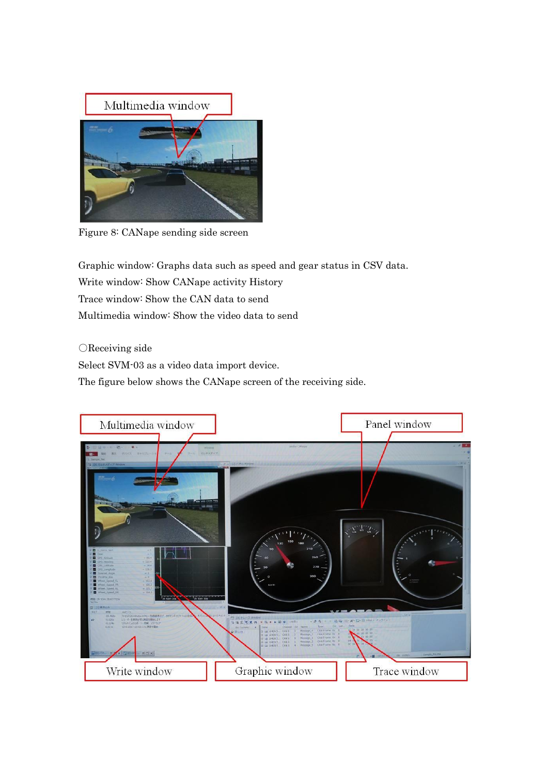![](_page_7_Picture_0.jpeg)

Figure 8: CANape sending side screen

Graphic window: Graphs data such as speed and gear status in CSV data. Write window: Show CANape activity History Trace window: Show the CAN data to send Multimedia window: Show the video data to send

○Receiving side

Select SVM-03 as a video data import device.

The figure below shows the CANape screen of the receiving side.

![](_page_7_Picture_6.jpeg)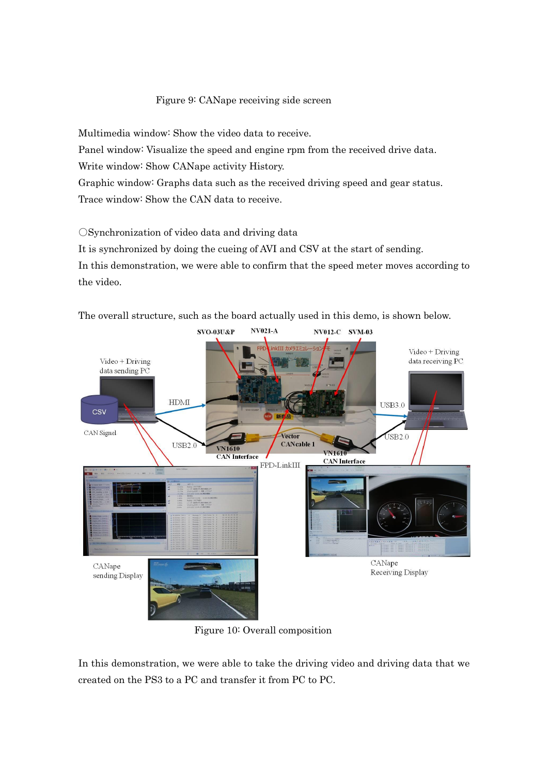# Figure 9: CANape receiving side screen

Multimedia window: Show the video data to receive. Panel window: Visualize the speed and engine rpm from the received drive data. Write window: Show CANape activity History. Graphic window: Graphs data such as the received driving speed and gear status. Trace window: Show the CAN data to receive.

○Synchronization of video data and driving data

It is synchronized by doing the cueing of AVI and CSV at the start of sending.

In this demonstration, we were able to confirm that the speed meter moves according to the video.

The overall structure, such as the board actually used in this demo, is shown below.

![](_page_8_Picture_6.jpeg)

Figure 10: Overall composition

In this demonstration, we were able to take the driving video and driving data that we created on the PS3 to a PC and transfer it from PC to PC.